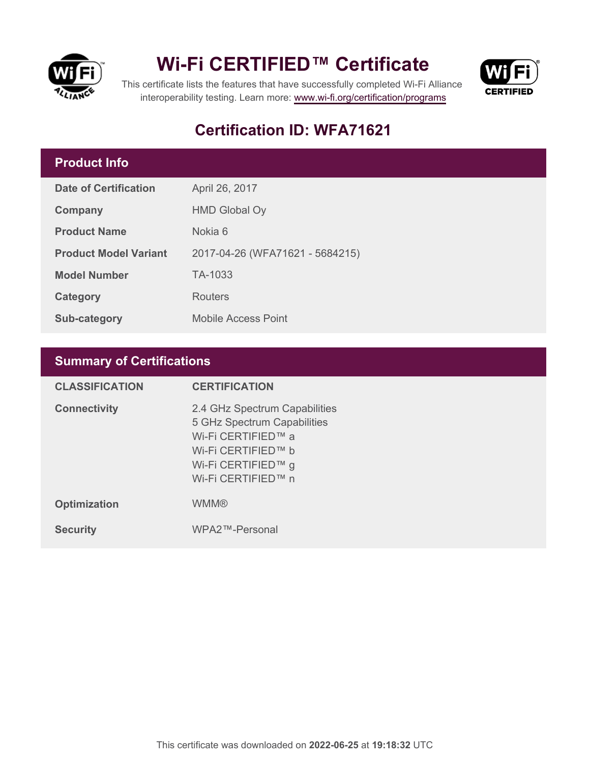

## **Wi-Fi CERTIFIED™ Certificate**



This certificate lists the features that have successfully completed Wi-Fi Alliance interoperability testing. Learn more:<www.wi-fi.org/certification/programs>

### **Certification ID: WFA71621**

### **Product Info**

| Date of Certification        | April 26, 2017                  |
|------------------------------|---------------------------------|
| Company                      | <b>HMD Global Oy</b>            |
| <b>Product Name</b>          | Nokia 6                         |
| <b>Product Model Variant</b> | 2017-04-26 (WFA71621 - 5684215) |
| <b>Model Number</b>          | TA-1033                         |
| Category                     | Routers                         |
| Sub-category                 | <b>Mobile Access Point</b>      |

### **Summary of Certifications**

| <b>CLASSIFICATION</b> | <b>CERTIFICATION</b>                                                                                                                                 |
|-----------------------|------------------------------------------------------------------------------------------------------------------------------------------------------|
| <b>Connectivity</b>   | 2.4 GHz Spectrum Capabilities<br>5 GHz Spectrum Capabilities<br>Wi-Fi CERTIFIED™ a<br>Wi-Fi CERTIFIED™ b<br>Wi-Fi CERTIFIED™ g<br>Wi-Fi CERTIFIED™ n |
| <b>Optimization</b>   | <b>WMM®</b>                                                                                                                                          |
| <b>Security</b>       | WPA2™-Personal                                                                                                                                       |